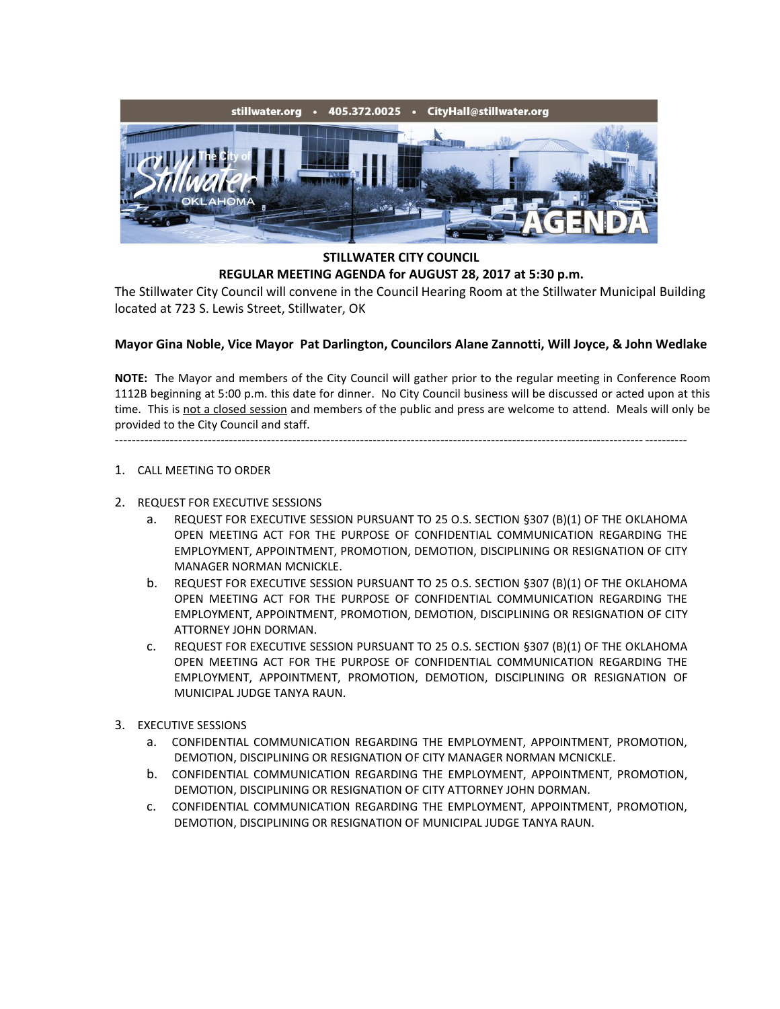

**STILLWATER CITY COUNCIL REGULAR MEETING AGENDA for AUGUST 28, 2017 at 5:30 p.m.**

The Stillwater City Council will convene in the Council Hearing Room at the Stillwater Municipal Building located at 723 S. Lewis Street, Stillwater, OK

## **Mayor Gina Noble, Vice Mayor Pat Darlington, Councilors Alane Zannotti, Will Joyce, & John Wedlake**

**NOTE:** The Mayor and members of the City Council will gather prior to the regular meeting in Conference Room 1112B beginning at 5:00 p.m. this date for dinner. No City Council business will be discussed or acted upon at this time. This is not a closed session and members of the public and press are welcome to attend. Meals will only be provided to the City Council and staff.

---------------------------------------------------------------------------------------------------------------------------------------

- 1. CALL MEETING TO ORDER
- 2. REQUEST FOR EXECUTIVE SESSIONS
	- a. REQUEST FOR EXECUTIVE SESSION PURSUANT TO 25 O.S. SECTION §307 (B)(1) OF THE OKLAHOMA OPEN MEETING ACT FOR THE PURPOSE OF CONFIDENTIAL COMMUNICATION REGARDING THE EMPLOYMENT, APPOINTMENT, PROMOTION, DEMOTION, DISCIPLINING OR RESIGNATION OF CITY MANAGER NORMAN MCNICKLE.
	- b. REQUEST FOR EXECUTIVE SESSION PURSUANT TO 25 O.S. SECTION §307 (B)(1) OF THE OKLAHOMA OPEN MEETING ACT FOR THE PURPOSE OF CONFIDENTIAL COMMUNICATION REGARDING THE EMPLOYMENT, APPOINTMENT, PROMOTION, DEMOTION, DISCIPLINING OR RESIGNATION OF CITY ATTORNEY JOHN DORMAN.
	- c. REQUEST FOR EXECUTIVE SESSION PURSUANT TO 25 O.S. SECTION §307 (B)(1) OF THE OKLAHOMA OPEN MEETING ACT FOR THE PURPOSE OF CONFIDENTIAL COMMUNICATION REGARDING THE EMPLOYMENT, APPOINTMENT, PROMOTION, DEMOTION, DISCIPLINING OR RESIGNATION OF MUNICIPAL JUDGE TANYA RAUN.
- 3. EXECUTIVE SESSIONS
	- a. CONFIDENTIAL COMMUNICATION REGARDING THE EMPLOYMENT, APPOINTMENT, PROMOTION, DEMOTION, DISCIPLINING OR RESIGNATION OF CITY MANAGER NORMAN MCNICKLE.
	- b. CONFIDENTIAL COMMUNICATION REGARDING THE EMPLOYMENT, APPOINTMENT, PROMOTION, DEMOTION, DISCIPLINING OR RESIGNATION OF CITY ATTORNEY JOHN DORMAN.
	- c. CONFIDENTIAL COMMUNICATION REGARDING THE EMPLOYMENT, APPOINTMENT, PROMOTION, DEMOTION, DISCIPLINING OR RESIGNATION OF MUNICIPAL JUDGE TANYA RAUN.